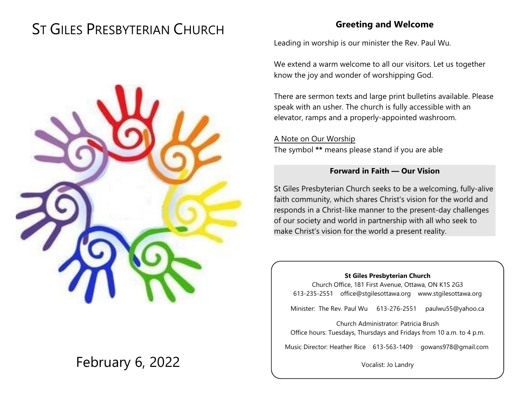# ST GILES PRESBYTERIAN CHURCH

# **Greeting and Welcome**

Leading in worship is our minister the Rev. Paul Wu.

We extend a warm welcome to all our visitors. Let us together know the joy and wonder of worshipping God.

There are sermon texts and large print bulletins available. Please speak with an usher. The church is fully accessible with an elevator, ramps and a properly-appointed washroom.

A Note on Our Worship The symbol **\*\*** means please stand if you are able

# **Forward in Faith — Our Vision**

St Giles Presbyterian Church seeks to be a welcoming, fully-alive faith community, which shares Christ's vision for the world and responds in a Christ-like manner to the present-day challenges of our society and world in partnership with all who seek to make Christ's vision for the world a present reality.

**St Giles Presbyterian Church** Church Office, 181 First Avenue, Ottawa, ON K1S 2G3 613-235-2551 office@stgilesottawa.org www.stgilesottawa.org

Minister: The Rev. Paul Wu 613-276-2551 paulwu55@yahoo.ca

Church Administrator: Patricia Brush Office hours: Tuesdays, Thursdays and Fridays from 10 a.m. to 4 p.m.

Music Director: Heather Rice 613-563-1409 gowans978@gmail.com

Vocalist: Jo Landry



# February 6, 2022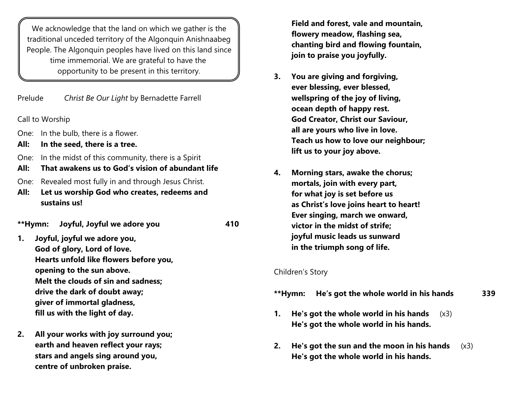We acknowledge that the land on which we gather is the traditional unceded territory of the Algonquin Anishnaabeg People. The Algonquin peoples have lived on this land since time immemorial. We are grateful to have the opportunity to be present in this territory.

Prelude *Christ Be Our Light* by Bernadette Farrell

Call to Worship

- One: In the bulb, there is a flower.
- **All: In the seed, there is a tree.**
- One: In the midst of this community, there is a Spirit
- **All: That awakens us to God's vision of abundant life**
- One: Revealed most fully in and through Jesus Christ.
- **All: Let us worship God who creates, redeems and sustains us!**

**\*\*Hymn: Joyful, Joyful we adore you 410**

- **1. Joyful, joyful we adore you, God of glory, Lord of love. Hearts unfold like flowers before you, opening to the sun above. Melt the clouds of sin and sadness; drive the dark of doubt away; giver of immortal gladness, fill us with the light of day.**
- **2. All your works with joy surround you; earth and heaven reflect your rays; stars and angels sing around you, centre of unbroken praise.**

**Field and forest, vale and mountain, flowery meadow, flashing sea, chanting bird and flowing fountain, join to praise you joyfully.**

- **3. You are giving and forgiving, ever blessing, ever blessed, wellspring of the joy of living, ocean depth of happy rest. God Creator, Christ our Saviour, all are yours who live in love. Teach us how to love our neighbour; lift us to your joy above.**
- **4. Morning stars, awake the chorus; mortals, join with every part, for what joy is set before us as Christ's love joins heart to heart! Ever singing, march we onward, victor in the midst of strife; joyful music leads us sunward in the triumph song of life.**

# Children's Story

- **\*\*Hymn: He's got the whole world in his hands 339**
	-
- **1. He's got the whole world in his hands** (x3) **He's got the whole world in his hands.**
- **2. He's got the sun and the moon in his hands** (x3) **He's got the whole world in his hands.**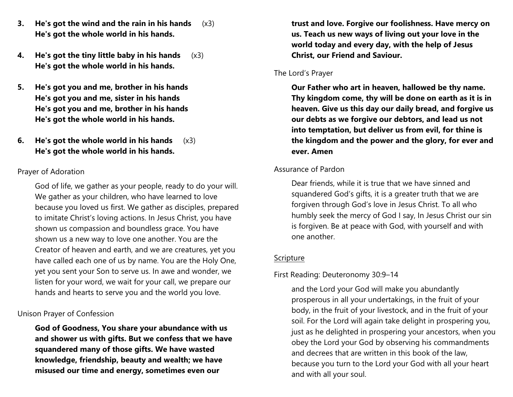- **3. He's got the wind and the rain in his hands** (x3) **He's got the whole world in his hands.**
- **4. He's got the tiny little baby in his hands** (x3) **He's got the whole world in his hands.**
- **5. He's got you and me, brother in his hands He's got you and me, sister in his hands He's got you and me, brother in his hands He's got the whole world in his hands.**
- **6. He's got the whole world in his hands** (x3) **He's got the whole world in his hands.**

## Prayer of Adoration

God of life, we gather as your people, ready to do your will. We gather as your children, who have learned to love because you loved us first. We gather as disciples, prepared to imitate Christ's loving actions. In Jesus Christ, you have shown us compassion and boundless grace. You have shown us a new way to love one another. You are the Creator of heaven and earth, and we are creatures, yet you have called each one of us by name. You are the Holy One, yet you sent your Son to serve us. In awe and wonder, we listen for your word, we wait for your call, we prepare our hands and hearts to serve you and the world you love.

# Unison Prayer of Confession

**God of Goodness, You share your abundance with us and shower us with gifts. But we confess that we have squandered many of those gifts. We have wasted knowledge, friendship, beauty and wealth; we have misused our time and energy, sometimes even our**

**trust and love. Forgive our foolishness. Have mercy on us. Teach us new ways of living out your love in the world today and every day, with the help of Jesus Christ, our Friend and Saviour.**

# The Lord's Prayer

**Our Father who art in heaven, hallowed be thy name. Thy kingdom come, thy will be done on earth as it is in heaven. Give us this day our daily bread, and forgive us our debts as we forgive our debtors, and lead us not into temptation, but deliver us from evil, for thine is the kingdom and the power and the glory, for ever and ever. Amen**

# Assurance of Pardon

Dear friends, while it is true that we have sinned and squandered God's gifts, it is a greater truth that we are forgiven through God's love in Jesus Christ. To all who humbly seek the mercy of God I say, In Jesus Christ our sin is forgiven. Be at peace with God, with yourself and with one another.

# Scripture

# First Reading: Deuteronomy 30:9–14

and the Lord your God will make you abundantly prosperous in all your undertakings, in the fruit of your body, in the fruit of your livestock, and in the fruit of your soil. For the Lord will again take delight in prospering you, just as he delighted in prospering your ancestors, when you obey the Lord your God by observing his commandments and decrees that are written in this book of the law, because you turn to the Lord your God with all your heart and with all your soul.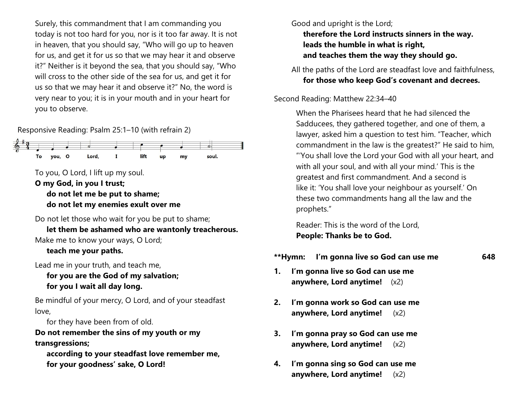Surely, this commandment that I am commanding you today is not too hard for you, nor is it too far away. It is not in heaven, that you should say, "Who will go up to heaven for us, and get it for us so that we may hear it and observe it?" Neither is it beyond the sea, that you should say, "Who will cross to the other side of the sea for us, and get it for us so that we may hear it and observe it?" No, the word is very near to you; it is in your mouth and in your heart for you to observe.

Responsive Reading: Psalm 25:1–10 (with refrain 2)



To you, O Lord, I lift up my soul.

**O my God, in you I trust; do not let me be put to shame; do not let my enemies exult over me**

Do not let those who wait for you be put to shame; **let them be ashamed who are wantonly treacherous.** Make me to know your ways, O Lord;

**teach me your paths.**

Lead me in your truth, and teach me,

**for you are the God of my salvation; for you I wait all day long.**

Be mindful of your mercy, O Lord, and of your steadfast love,

for they have been from of old.

**Do not remember the sins of my youth or my transgressions;**

**according to your steadfast love remember me, for your goodness' sake, O Lord!**

# Good and upright is the Lord;

**therefore the Lord instructs sinners in the way. leads the humble in what is right, and teaches them the way they should go.**

All the paths of the Lord are steadfast love and faithfulness, **for those who keep God's covenant and decrees.**

Second Reading: Matthew 22:34–40

When the Pharisees heard that he had silenced the Sadducees, they gathered together, and one of them, a lawyer, asked him a question to test him. "Teacher, which commandment in the law is the greatest?" He said to him, "'You shall love the Lord your God with all your heart, and with all your soul, and with all your mind.' This is the greatest and first commandment. And a second is like it: 'You shall love your neighbour as yourself.' On these two commandments hang all the law and the prophets."

Reader: This is the word of the Lord, **People: Thanks be to God.**

- **\*\*Hymn: I'm gonna live so God can use me 648**
	-

- **1. I'm gonna live so God can use me anywhere, Lord anytime!** (x2)
- **2. I'm gonna work so God can use me anywhere, Lord anytime!** (x2)
- **3. I'm gonna pray so God can use me anywhere, Lord anytime!** (x2)
- **4. I'm gonna sing so God can use me anywhere, Lord anytime!** (x2)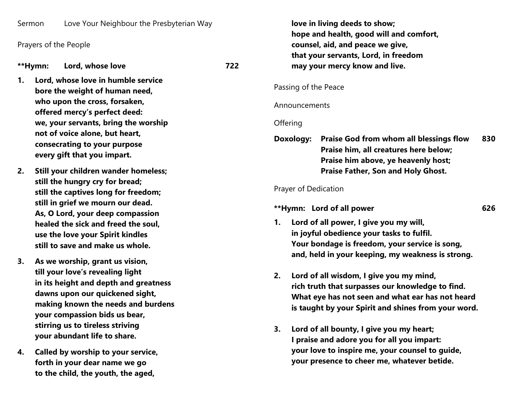Sermon Love Your Neighbour the Presbyterian Way

#### Prayers of the People

**\*\*Hymn: Lord, whose love 722**

- **1. Lord, whose love in humble service bore the weight of human need, who upon the cross, forsaken, offered mercy's perfect deed: we, your servants, bring the worship not of voice alone, but heart, consecrating to your purpose every gift that you impart.**
- **2. Still your children wander homeless; still the hungry cry for bread; still the captives long for freedom; still in grief we mourn our dead. As, O Lord, your deep compassion healed the sick and freed the soul, use the love your Spirit kindles still to save and make us whole.**
- **3. As we worship, grant us vision, till your love's revealing light in its height and depth and greatness dawns upon our quickened sight, making known the needs and burdens your compassion bids us bear, stirring us to tireless striving your abundant life to share.**
- **4. Called by worship to your service, forth in your dear name we go to the child, the youth, the aged,**

|                      |                                                                                                                                                                                                                                       | love in living deeds to show;<br>hope and health, good will and comfort,<br>counsel, aid, and peace we give,<br>that your servants, Lord, in freedom<br>may your mercy know and live.    |     |
|----------------------|---------------------------------------------------------------------------------------------------------------------------------------------------------------------------------------------------------------------------------------|------------------------------------------------------------------------------------------------------------------------------------------------------------------------------------------|-----|
| Passing of the Peace |                                                                                                                                                                                                                                       |                                                                                                                                                                                          |     |
| Announcements        |                                                                                                                                                                                                                                       |                                                                                                                                                                                          |     |
|                      | Offering                                                                                                                                                                                                                              |                                                                                                                                                                                          |     |
|                      | Doxology:                                                                                                                                                                                                                             | <b>Praise God from whom all blessings flow</b><br>Praise him, all creatures here below;<br>Praise him above, ye heavenly host;<br><b>Praise Father, Son and Holy Ghost.</b>              | 830 |
|                      | Prayer of Dedication                                                                                                                                                                                                                  |                                                                                                                                                                                          |     |
|                      |                                                                                                                                                                                                                                       | **Hymn: Lord of all power                                                                                                                                                                | 626 |
| 1.<br>2.             | Lord of all power, I give you my will,<br>in joyful obedience your tasks to fulfil.<br>Your bondage is freedom, your service is song,<br>and, held in your keeping, my weakness is strong.<br>Lord of all wisdom, I give you my mind, |                                                                                                                                                                                          |     |
|                      | rich truth that surpasses our knowledge to find.<br>What eye has not seen and what ear has not heard<br>is taught by your Spirit and shines from your word.                                                                           |                                                                                                                                                                                          |     |
| 3.                   |                                                                                                                                                                                                                                       | Lord of all bounty, I give you my heart;<br>I praise and adore you for all you impart:<br>your love to inspire me, your counsel to guide,<br>your presence to cheer me, whatever betide. |     |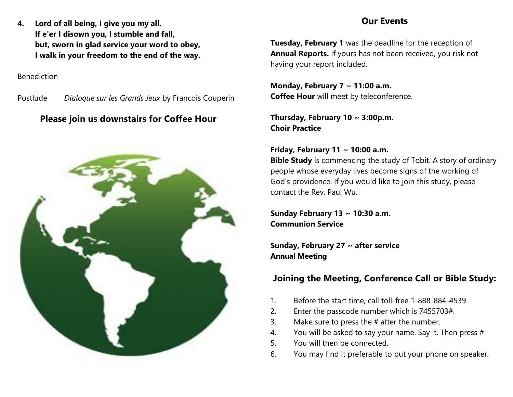**4. Lord of all being, I give you my all. If e'er I disown you, I stumble and fall, but, sworn in glad service your word to obey, I walk in your freedom to the end of the way.**

Benediction

Postlude *Dialogue sur les Grands Jeux* by Francois Couperin

# **Please join us downstairs for Coffee Hour**



# **Our Events**

**Tuesday, February 1** was the deadline for the reception of **Annual Reports.** If yours has not been received, you risk not having your report included.

**Monday, February 7 ~ 11:00 a.m. Coffee Hour** will meet by teleconference.

**Thursday, February 10 ~ 3:00p.m. Choir Practice**

## **Friday, February 11 ~ 10:00 a.m.**

**Bible Study** is commencing the study of Tobit. A story of ordinary people whose everyday lives become signs of the working of God's providence. If you would like to join this study, please contact the Rev. Paul Wu.

**Sunday February 13 ~ 10:30 a.m. Communion Service**

**Sunday, February 27 ~ after service Annual Meeting**

# **Joining the Meeting, Conference Call or Bible Study:**

- 1. Before the start time, call toll-free 1-888-884-4539.
- 2. Enter the passcode number which is 7455703#.
- 3. Make sure to press the # after the number.
- 4. You will be asked to say your name. Say it. Then press #.
- 5. You will then be connected.
- 6. You may find it preferable to put your phone on speaker.